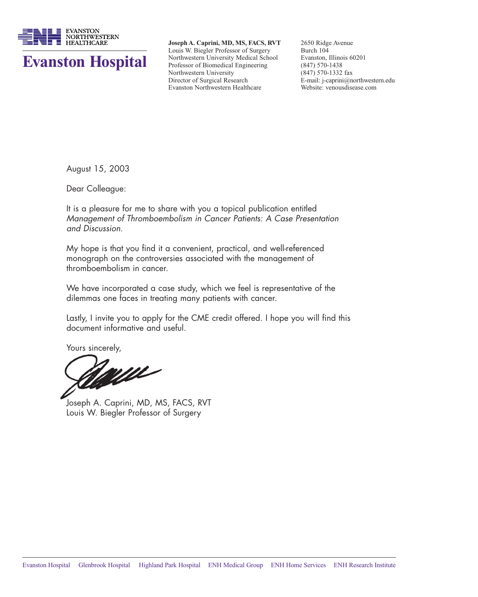

# **Evanston Hospital**

**Joseph A. Caprini, MD, MS, FACS, RVT** Louis W. Biegler Professor of Surgery Northwestern University Medical School Professor of Biomedical Engineering Northwestern University Director of Surgical Research Evanston Northwestern Healthcare

2650 Ridge Avenue Burch 104 Evanston, Illinois 60201 (847) 570-1438 (847) 570-1332 fax E-mail: j-caprini@northwestern.edu Website: venousdisease.com

August 15, 2003

Dear Colleague:

It is a pleasure for me to share with you a topical publication entitled Management of Thromboembolism in Cancer Patients: A Case Presentation and Discussion.

My hope is that you find it a convenient, practical, and well-referenced monograph on the controversies associated with the management of thromboembolism in cancer.

We have incorporated a case study, which we feel is representative of the dilemmas one faces in treating many patients with cancer.

Lastly, I invite you to apply for the CME credit offered. I hope you will find this document informative and useful.

Yours sincerely,

Joseph A. Caprini, MD, MS, FACS, RVT Louis W. Biegler Professor of Surgery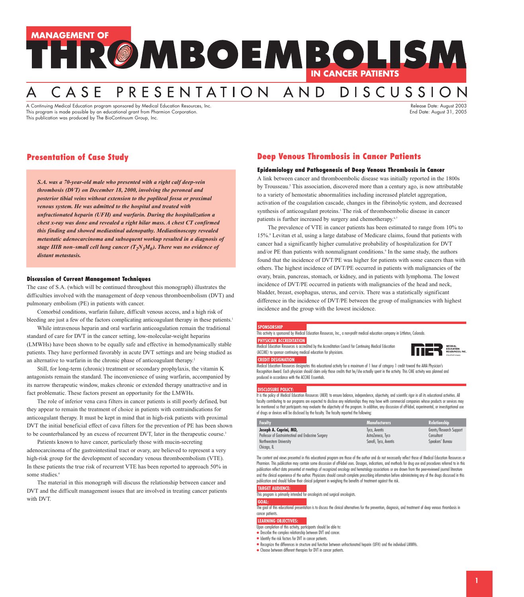# **MANAGEMENT OF** HRØMBOEMBOLISM **IN CANCER PATIENTS**

# DISCUSSION CASE PRESENTATION AND

A Continuing Medical Education program sponsored by Medical Education Resources, Inc. And the context of the context of the context of the context of the context of the Release Date: August 2003 This program is made possible by an educational grant from Pharmion Corporation. This program is made possible by an educational grant from Pharmion Corporation. This publication was produced by The BioContinuum Group, Inc.

# **Presentation of Case Study**

*S.A. was a 70-year-old male who presented with a right calf deep-vein thrombosis (DVT) on December 18, 2000, involving the peroneal and posterior tibial veins without extension to the popliteal fossa or proximal venous system. He was admitted to the hospital and treated with unfractionated heparin (UFH) and warfarin. During the hospitalization a chest x-ray was done and revealed a right hilar mass. A chest CT confirmed this finding and showed mediastinal adenopathy. Mediastinoscopy revealed metastatic adenocarcinoma and subsequent workup resulted in a diagnosis of stage IIIB non–small cell lung cancer*  $(T_2N_3M_0)$ *. There was no evidence of distant metastasis.*

### **Discussion of Current Management Techniques**

The case of S.A. (which will be continued throughout this monograph) illustrates the difficulties involved with the management of deep venous thromboembolism (DVT) and pulmonary embolism (PE) in patients with cancer.

Comorbid conditions, warfarin failure, difficult venous access, and a high risk of bleeding are just a few of the factors complicating anticoagulant therapy in these patients.<sup>1</sup>

While intravenous heparin and oral warfarin anticoagulation remain the traditional standard of care for DVT in the cancer setting, low-molecular-weight heparins (LMWHs) have been shown to be equally safe and effective in hemodynamically stable patients. They have performed favorably in acute DVT settings and are being studied as an alternative to warfarin in the chronic phase of anticoagulant therapy.<sup>2</sup>

Still, for long-term (chronic) treatment or secondary prophylaxis, the vitamin K antagonists remain the standard. The inconvenience of using warfarin, accompanied by its narrow therapeutic window, makes chronic or extended therapy unattractive and in fact problematic. These factors present an opportunity for the LMWHs.

The role of inferior vena cava filters in cancer patients is still poorly defined, but they appear to remain the treatment of choice in patients with contraindications for anticoagulant therapy. It must be kept in mind that in high-risk patients with proximal DVT the initial beneficial effect of cava filters for the prevention of PE has been shown to be counterbalanced by an excess of recurrent DVT, later in the therapeutic course.<sup>3</sup>

Patients known to have cancer, particularly those with mucin-secreting adenocarcinoma of the gastrointestinal tract or ovary, are believed to represent a very high-risk group for the development of secondary venous thromboembolism (VTE). In these patients the true risk of recurrent VTE has been reported to approach 50% in some studies.<sup>4</sup>

The material in this monograph will discuss the relationship between cancer and DVT and the difficult management issues that are involved in treating cancer patients with DVT.

# **Deep Venous Thrombosis in Cancer Patients**

### **Epidemiology and Pathogenesis of Deep Venous Thrombosis in Cancer**

A link between cancer and thromboembolic disease was initially reported in the 1800s by Trousseau.<sup>5</sup> This association, discovered more than a century ago, is now attributable to a variety of hemostatic abnormalities including increased platelet aggregation, activation of the coagulation cascade, changes in the fibrinolytic system, and decreased synthesis of anticoagulant proteins.<sup>1</sup> The risk of thromboembolic disease in cancer patients is further increased by surgery and chemotherapy.<sup>6,7</sup>

The prevalence of VTE in cancer patients has been estimated to range from 10% to 15%.<sup>8</sup> Levitan et al, using a large database of Medicare claims, found that patients with cancer had a significantly higher cumulative probability of hospitalization for DVT and/or PE than patients with nonmalignant conditions.<sup>9</sup> In the same study, the authors found that the incidence of DVT/PE was higher for patients with some cancers than with others. The highest incidence of DVT/PE occurred in patients with malignancies of the ovary, brain, pancreas, stomach, or kidney, and in patients with lymphoma. The lowest incidence of DVT/PE occurred in patients with malignancies of the head and neck, bladder, breast, esophagus, uterus, and cervix. There was a statistically significant difference in the incidence of DVT/PE between the group of malignancies with highest incidence and the group with the lowest incidence.

### **SPONSORSHIP**

This activity is sponsored by Medical Education Resources, Inc., a non-profit medical education company in Littleton, Colorado. **PHYSICIAN ACCREDITATION**

#### Medical Education Resources is accredited by the Accreditation Council for Continuing Medical Education (ACCME) to sponsor continuing medical education for physicians.



**CREDIT DESIGNATION** Medical Education Resources designates this educational activity for a maximum of 1 hour of category 1 credit toward the AMA Physician's Recognition Award. Each physician should claim only those credits that he/she actually spent in the activity. This CME activity was planned and produced in accordance with the ACCME Essentials.

### **DISCLOSURE POLICY:**

It is the policy of Medical Education Resources (MER) to ensure balance, independence, objectivity, and scientific rigor in all its educational activities. All faculty contributing to our programs are expected to disclose any relationships they may have with commercial companies whose products or services may be mentioned so that participants may evaluate the objectivity of the program. In addition, any discussion of off-label, experimental, or investigational use of drugs or devices will be disclosed by the faculty. The faculty reported the following:

| <b>Faculty</b>                                      | <b>Manufacturers</b>  | <b>Relationship</b>     |
|-----------------------------------------------------|-----------------------|-------------------------|
| Joseph A. Caprini, MD,                              | Tyco, Aventis         | Grants/Research Support |
| Professor of Gastrointestinal and Endocrine Surgery | AstraZeneca, Tyco     | Consultant              |
| Northwestern University                             | Sanofi, Tyco, Aventis | Speakers' Bureau        |
| Chicago, IL                                         |                       |                         |

The content and views presented in this educational program are those of the author and do not necessarily reflect those of Medical Education Resources or Pharmion. This publication may contain some discussion of off-label uses. Dosages, indications, and methods for drug use and procedures referred to in this publication reflect data presented at meetings of recognized oncology and hematology associations or are drawn from the peer-reviewed journal literature and the clinical experience of the author. Physicians should consult complete prescribing information before administering any of the drugs discussed in this publication and should follow their clinical judgment in weighing the benefits of treatment against the risk.

**TARGET AUDIENCE:**

This program is primarily intended for oncologists and surgical oncologists.

### **GOAL:**

The goal of this educational presentation is to discuss the clinical alternatives for the prevention, diagnosis, and treatment of deep venous thrombosis in cancer patients.

### **LEARNING OBJECTIVES:**

- Upon completion of this activity, participants should be able to:
- Describe the complex relationship between DVT and cancer.
- Identify the risk factors for DVT in cancer patients.
- Recognize the differences in structure and function between unfractionated heparin (UFH) and the individual LMWHs.
- Choose between different therapies for DVT in cancer patients.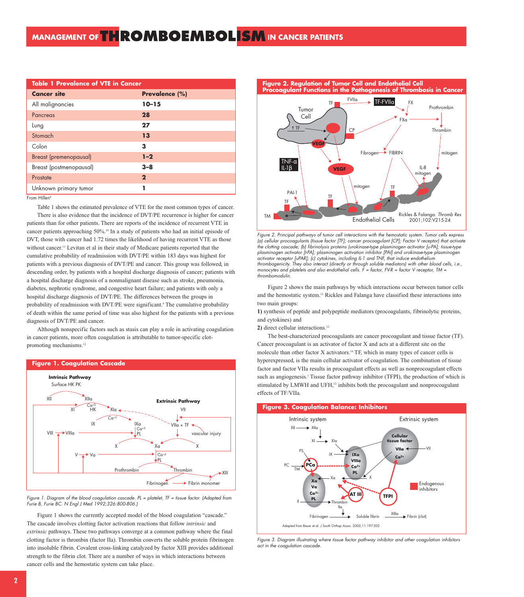| <b>Table 1 Prevalence of VTE in Cancer</b> |                |  |
|--------------------------------------------|----------------|--|
| <b>Cancer site</b>                         | Prevalence (%) |  |
| All malignancies                           | $10 - 15$      |  |
| Pancreas                                   | 28             |  |
| Lung                                       | 27             |  |
| Stomach                                    | 13             |  |
| Colon                                      | 3              |  |
| <b>Breast (premenopausal)</b>              | $1 - 2$        |  |
| Breast (postmenopausal)                    | $3 - 8$        |  |
| Prostate                                   | $\mathbf 2$    |  |
| Unknown primary tumor                      |                |  |
|                                            |                |  |

From Hillen8

Table 1 shows the estimated prevalence of VTE for the most common types of cancer. There is also evidence that the incidence of DVT/PE recurrence is higher for cancer patients than for other patients. There are reports of the incidence of recurrent VTE in cancer patients approaching 50%.10 In a study of patients who had an initial episode of DVT, those with cancer had 1.72 times the likelihood of having recurrent VTE as those without cancer.11 Levitan et al in their study of Medicare patients reported that the cumulative probability of readmission with DVT/PE within 183 days was highest for patients with a previous diagnosis of DVT/PE and cancer. This group was followed, in descending order, by patients with a hospital discharge diagnosis of cancer; patients with a hospital discharge diagnosis of a nonmalignant disease such as stroke, pneumonia, diabetes, nephrotic syndrome, and congestive heart failure; and patients with only a hospital discharge diagnosis of DVT/PE. The differences between the groups in probability of readmission with DVT/PE were significant.<sup>9</sup> The cumulative probability of death within the same period of time was also highest for the patients with a previous diagnosis of DVT/PE and cancer.

Although nonspecific factors such as stasis can play a role in activating coagulation in cancer patients, more often coagulation is attributable to tumor-specific clotpromoting mechanisms.<sup>12</sup>





Fibrinogen

Fibrin monomer

Figure 1 shows the currently accepted model of the blood coagulation "cascade." The cascade involves clotting factor activation reactions that follow *intrinsic* and *extrinsic* pathways. These two pathways converge at a common pathway where the final clotting factor is thrombin (factor IIa). Thrombin converts the soluble protein fibrinogen into insoluble fibrin. Covalent cross-linking catalyzed by factor XIII provides additional strength to the fibrin clot. There are a number of ways in which interactions between cancer cells and the hemostatic system can take place.



Figure 2. Principal pathways of tumor cell interactions with the hemostatic system. Tumor cells express (a) cellular procoagulants (tissue factor [TF]; cancer procoagulant [CP]; Factor V receptor) that activate the clotting cascade; (b) fibrinolysis proteins (urokinase-type plasminogen activator [u-PA]; tissue-type <sup>p</sup>lasminogen activator [t-PA]; plasminogen activation inhibitor [PAI] and urokinase-type plasminogen activator receptor [uPAR]; (c) cytokines, including IL-1 and TNF, that induce endothelium thrombogenicity. They also interact (directly or through soluble mediators) with other blood cells, i.e., monocytes and platelets and also endothelial cells. F = factor, FV-R = factor V receptor, TM = thrombomodulin.

Figure 2 shows the main pathways by which interactions occur between tumor cells and the hemostatic system.12 Rickles and Falanga have classified these interactions into two main groups:

**1)** synthesis of peptide and polypeptide mediators (procoagulants, fibrinolytic proteins, and cytokines) and

2) direct cellular interactions.<sup>12</sup>

The best-characterized procoagulants are cancer procoagulant and tissue factor (TF). Cancer procoagulant is an activator of factor X and acts at a different site on the molecule than other factor X activators.14 TF, which in many types of cancer cells is hyperexpressed, is the main cellular activator of coagulation. The combination of tissue factor and factor VIIa results in procoagulant effects as well as nonprocoagulant effects such as angiogenesis.<sup>1</sup> Tissue factor pathway inhibitor (TFPI), the production of which is stimulated by LMWH and UFH,<sup>12</sup> inhibits both the procoagulant and nonprocoagulant effects of TF/VIIa.

#### **Figure 3. Coagulation Balance: Inhibitors**



Figure 3. Diagram illustrating where tissue factor pathway inhibitor and other coagulation inhibitors act in the coagulation cascade.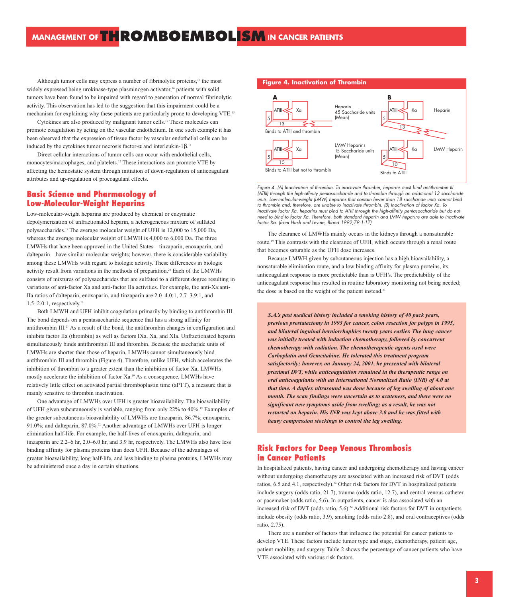Although tumor cells may express a number of fibrinolytic proteins,<sup>15</sup> the most widely expressed being urokinase-type plasminogen activator,<sup>16</sup> patients with solid tumors have been found to be impaired with regard to generation of normal fibrinolytic activity. This observation has led to the suggestion that this impairment could be a mechanism for explaining why these patients are particularly prone to developing VTE.15

Cytokines are also produced by malignant tumor cells.17 These molecules can promote coagulation by acting on the vascular endothelium. In one such example it has been observed that the expression of tissue factor by vascular endothelial cells can be induced by the cytokines tumor necrosis factor- $\alpha$  and interleukin-1β.<sup>18</sup>

Direct cellular interactions of tumor cells can occur with endothelial cells, monocytes/macrophages, and platelets.12 These interactions can promote VTE by affecting the hemostatic system through initiation of down-regulation of anticoagulant attributes and up-regulation of procoagulant effects.

# **Basic Science and Pharmacology of Low-Molecular-Weight Heparins**

Low-molecular-weight heparins are produced by chemical or enzymatic depolymerization of unfractionated heparin, a heterogeneous mixture of sulfated polysaccharides.19 The average molecular weight of UFH is 12,000 to 15,000 Da, whereas the average molecular weight of LMWH is 4,000 to 6,000 Da. The three LMWHs that have been approved in the United States—tinzaparin, enoxaparin, and dalteparin—have similar molecular weights; however, there is considerable variability among these LMWHs with regard to biologic activity. These differences in biologic activity result from variations in the methods of preparation.<sup>20</sup> Each of the LMWHs consists of mixtures of polysaccharides that are sulfated to a different degree resulting in variations of anti-factor Xa and anti-factor IIa activities. For example, the anti-Xa:anti-IIa ratios of dalteparin, enoxaparin, and tinzaparin are 2.0–4.0:1, 2.7–3.9:1, and 1.5–2.0:1, respectively.19

Both LMWH and UFH inhibit coagulation primarily by binding to antithrombin III. The bond depends on a pentasaccharide sequence that has a strong affinity for antithrombin III.21 As a result of the bond, the antithrombin changes in configuration and inhibits factor IIa (thrombin) as well as factors IXa, Xa, and XIa. Unfractionated heparin simultaneously binds antithrombin III and thrombin. Because the saccharide units of LMWHs are shorter than those of heparin, LMWHs cannot simultaneously bind antithrombin III and thrombin (Figure 4). Therefore, unlike UFH, which accelerates the inhibition of thrombin to a greater extent than the inhibition of factor Xa, LMWHs mostly accelerate the inhibition of factor Xa.19 As a consequence, LMWHs have relatively little effect on activated partial thromboplastin time (aPTT), a measure that is mainly sensitive to thrombin inactivation.

One advantage of LMWHs over UFH is greater bioavailability. The bioavailability of UFH given subcutaneously is variable, ranging from only 22% to 40%.19 Examples of the greater subcutaneous bioavailability of LMWHs are tinzaparin, 86.7%; enoxaparin, 91.0%; and dalteparin, 87.0%.<sup>22</sup> Another advantage of LMWHs over UFH is longer elimination half-life. For example, the half-lives of enoxaparin, dalteparin, and tinzaparin are 2.2–6 hr, 2.0–6.0 hr, and 3.9 hr, respectively. The LMWHs also have less binding affinity for plasma proteins than does UFH. Because of the advantages of greater bioavailability, long half-life, and less binding to plasma proteins, LMWHs may be administered once a day in certain situations.

### **Figure 4. Inactivation of Thrombin**



Figure 4. (A) Inactivation of thrombin. To inactivate thrombin, heparins must bind antithrombin III (ATIII) through the high-affinity pentasaccharide and to thrombin through an additional 13 saccharide units. Low-molecular-weight (LMW) heparins that contain fewer than 18 saccharide units cannot bind to thrombin and, therefore, are unable to inactivate thrombin. (B) Inactivation of factor Xa. To inactivate factor Xa, heparins must bind to ATIII through the high-affinity pentasaccharide but do not need to bind to factor Xa. Therefore, both standard heparin and LMW heparins are able to inactivate factor Xa. (from Hirsh and Levine, Blood 1992;79:1-17)

The clearance of LMWHs mainly occurs in the kidneys through a nonsaturable route.19 This contrasts with the clearance of UFH, which occurs through a renal route that becomes saturable as the UFH dose increases.

Because LMWH given by subcutaneous injection has a high bioavailability, a nonsaturable elimination route, and a low binding affinity for plasma proteins, its anticoagulant response is more predictable than is UFH's. The predictability of the anticoagulant response has resulted in routine laboratory monitoring not being needed; the dose is based on the weight of the patient instead.<sup>23</sup>

*S.A.'s past medical history included a smoking history of 40 pack years, previous prostatectomy in 1993 for cancer, colon resection for polyps in 1995, and bilateral inguinal herniorrhaphies twenty years earlier. The lung cancer was initially treated with induction chemotherapy, followed by concurrent chemotherapy with radiation. The chemotherapeutic agents used were Carboplatin and Gemcitabine. He tolerated this treatment program satisfactorily; however, on January 24, 2001, he presented with bilateral proximal DVT, while anticoagulation remained in the therapeutic range on oral anticoagulants with an International Normalized Ratio (INR) of 4.0 at that time. A duplex ultrasound was done because of leg swelling of about one month. The scan findings were uncertain as to acuteness, and there were no significant new symptoms aside from swelling; as a result, he was not restarted on heparin. His INR was kept above 3.0 and he was fitted with heavy compression stockings to control the leg swelling.*

# **Risk Factors for Deep Venous Thrombosis in Cancer Patients**

In hospitalized patients, having cancer and undergoing chemotherapy and having cancer without undergoing chemotherapy are associated with an increased risk of DVT (odds ratios, 6.5 and 4.1, respectively).<sup>24</sup> Other risk factors for DVT in hospitalized patients include surgery (odds ratio, 21.7), trauma (odds ratio, 12.7), and central venous catheter or pacemaker (odds ratio, 5.6). In outpatients, cancer is also associated with an increased risk of DVT (odds ratio, 5.6).<sup>24</sup> Additional risk factors for DVT in outpatients include obesity (odds ratio, 3.9), smoking (odds ratio 2.8), and oral contraceptives (odds ratio, 2.75).

There are a number of factors that influence the potential for cancer patients to develop VTE. These factors include tumor type and stage, chemotherapy, patient age, patient mobility, and surgery. Table 2 shows the percentage of cancer patients who have VTE associated with various risk factors.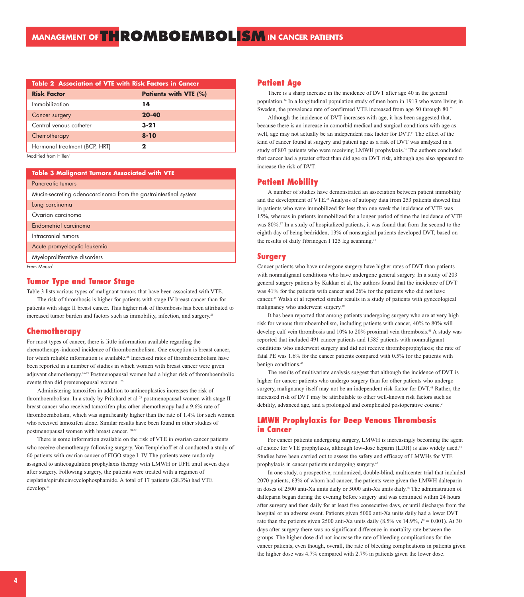| <b>Table 2 Association of VTE with Risk Factors in Cancer</b> |                              |  |
|---------------------------------------------------------------|------------------------------|--|
| <b>Risk Factor</b>                                            | <b>Patients with VTE (%)</b> |  |
| Immobilization                                                | 14                           |  |
| Cancer surgery                                                | $20 - 40$                    |  |
| Central venous catheter                                       | $3 - 21$                     |  |
| Chemotherapy                                                  | $8 - 10$                     |  |
| Hormonal treatment (BCP, HRT)                                 | $\mathbf{2}$                 |  |
| Modified from Hillen <sup>8</sup>                             |                              |  |

Modi<del>l</del>ied from Hillen<sup>8</sup>

| <b>Table 3 Malignant Tumors Associated with VTE</b>             |  |  |
|-----------------------------------------------------------------|--|--|
| Pancreatic tumors                                               |  |  |
| Mucin-secreting adenocarcinoma from the gastrointestinal system |  |  |
| Lung carcinoma                                                  |  |  |
| Ovarian carcinoma                                               |  |  |
| Endometrial carcinoma                                           |  |  |
| Intracranial tumors                                             |  |  |
| Acute promyelocytic leukemia                                    |  |  |
| Myeloproliferative disorders                                    |  |  |
| $E_{zam}$ $M_{quark}$                                           |  |  |

From Mousa

## **Tumor Type and Tumor Stage**

Table 3 lists various types of malignant tumors that have been associated with VTE.

The risk of thrombosis is higher for patients with stage IV breast cancer than for patients with stage II breast cancer. This higher risk of thrombosis has been attributed to increased tumor burden and factors such as immobility, infection, and surgery.<sup>25</sup>

### **Chemotherapy**

For most types of cancer, there is little information available regarding the chemotherapy-induced incidence of thromboembolism. One exception is breast cancer, for which reliable information is available.26 Increased rates of thromboembolism have been reported in a number of studies in which women with breast cancer were given adjuvant chemotherapy.26-29 Postmenopausal women had a higher risk of thromboembolic events than did premenopausal women. 26

Administering tamoxifen in addition to antineoplastics increases the risk of thromboembolism. In a study by Pritchard et al<sup>28</sup> postmenopausal women with stage II breast cancer who received tamoxifen plus other chemotherapy had a 9.6% rate of thromboembolism, which was significantly higher than the rate of 1.4% for such women who received tamoxifen alone. Similar results have been found in other studies of postmenopausal women with breast cancer. 30-32

There is some information available on the risk of VTE in ovarian cancer patients who receive chemotherapy following surgery. Von Templehoff et al conducted a study of 60 patients with ovarian cancer of FIGO stage I–IV. The patients were randomly assigned to anticoagulation prophylaxis therapy with LMWH or UFH until seven days after surgery. Following surgery, the patients were treated with a regimen of cisplatin/epirubicin/cyclophosphamide. A total of 17 patients (28.3%) had VTE develop.<sup>33</sup>

### **Patient Age**

There is a sharp increase in the incidence of DVT after age 40 in the general population.34 In a longitudinal population study of men born in 1913 who were living in Sweden, the prevalence rate of confirmed VTE increased from age 50 through 80.<sup>35</sup>

Although the incidence of DVT increases with age, it has been suggested that, because there is an increase in comorbid medical and surgical conditions with age as well, age may not actually be an independent risk factor for DVT.<sup>34</sup> The effect of the kind of cancer found at surgery and patient age as a risk of DVT was analyzed in a study of 807 patients who were receiving LMWH prophylaxis.<sup>36</sup> The authors concluded that cancer had a greater effect than did age on DVT risk, although age also appeared to increase the risk of DVT.

### **Patient Mobility**

A number of studies have demonstrated an association between patient immobility and the development of VTE.<sup>34</sup> Analysis of autopsy data from 253 patients showed that in patients who were immobilized for less than one week the incidence of VTE was 15%, whereas in patients immobilized for a longer period of time the incidence of VTE was 80%.37 In a study of hospitalized patients, it was found that from the second to the eighth day of being bedridden, 13% of nonsurgical patients developed DVT, based on the results of daily fibrinogen I 125 leg scanning.<sup>38</sup>

### **Surgery**

Cancer patients who have undergone surgery have higher rates of DVT than patients with nonmalignant conditions who have undergone general surgery. In a study of 203 general surgery patients by Kakkar et al, the authors found that the incidence of DVT was 41% for the patients with cancer and 26% for the patients who did not have cancer.39 Walsh et al reported similar results in a study of patients with gynecological malignancy who underwent surgery.40

It has been reported that among patients undergoing surgery who are at very high risk for venous thromboembolism, including patients with cancer, 40% to 80% will develop calf vein thrombosis and 10% to 20% proximal vein thrombosis.<sup>41</sup> A study was reported that included 491 cancer patients and 1585 patients with nonmalignant conditions who underwent surgery and did not receive thromboprophylaxis; the rate of fatal PE was 1.6% for the cancer patients compared with 0.5% for the patients with benign conditions.<sup>42</sup>

The results of multivariate analysis suggest that although the incidence of DVT is higher for cancer patients who undergo surgery than for other patients who undergo surgery, malignancy itself may not be an independent risk factor for DVT.43 Rather, the increased risk of DVT may be attributable to other well-known risk factors such as debility, advanced age, and a prolonged and complicated postoperative course.<sup>2</sup>

# **LMWH Prophylaxis for Deep Venous Thrombosis in Cancer**

For cancer patients undergoing surgery, LMWH is increasingly becoming the agent of choice for VTE prophylaxis, although low-dose heparin (LDH) is also widely used.44 Studies have been carried out to assess the safety and efficacy of LMWHs for VTE prophylaxis in cancer patients undergoing surgery.45

In one study, a prospective, randomized, double-blind, multicenter trial that included 2070 patients, 63% of whom had cancer, the patients were given the LMWH dalteparin in doses of 2500 anti-Xa units daily or 5000 anti-Xa units daily.<sup>46</sup> The administration of dalteparin began during the evening before surgery and was continued within 24 hours after surgery and then daily for at least five consecutive days, or until discharge from the hospital or an adverse event. Patients given 5000 anti-Xa units daily had a lower DVT rate than the patients given 2500 anti-Xa units daily  $(8.5\% \text{ vs } 14.9\%, P = 0.001)$ . At 30 days after surgery there was no significant difference in mortality rate between the groups. The higher dose did not increase the rate of bleeding complications for the cancer patients, even though, overall, the rate of bleeding complications in patients given the higher dose was 4.7% compared with 2.7% in patients given the lower dose.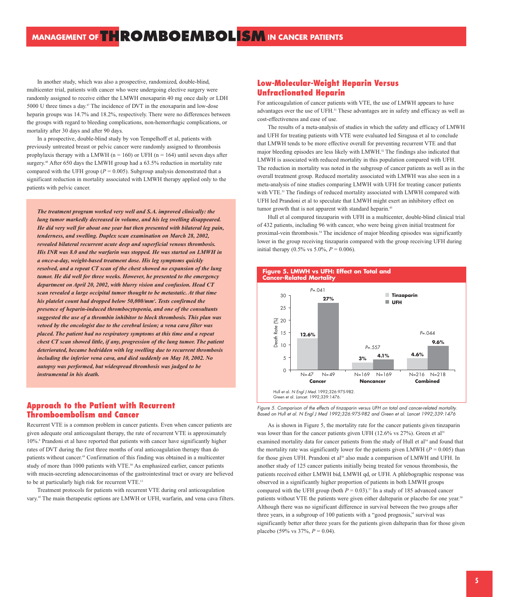In another study, which was also a prospective, randomized, double-blind, multicenter trial, patients with cancer who were undergoing elective surgery were randomly assigned to receive either the LMWH enoxaparin 40 mg once daily or LDH 5000 U three times a day.47 The incidence of DVT in the enoxaparin and low-dose heparin groups was 14.7% and 18.2%, respectively. There were no differences between the groups with regard to bleeding complications, non-hemorrhagic complications, or mortality after 30 days and after 90 days.

In a prospective, double-blind study by von Tempelhoff et al, patients with previously untreated breast or pelvic cancer were randomly assigned to thrombosis prophylaxis therapy with a LMWH ( $n = 160$ ) or UFH ( $n = 164$ ) until seven days after surgery.<sup>48</sup> After 650 days the LMWH group had a 63.5% reduction in mortality rate compared with the UFH group  $(P = 0.005)$ . Subgroup analysis demonstrated that a significant reduction in mortality associated with LMWH therapy applied only to the patients with pelvic cancer.

*The treatment program worked very well and S.A. improved clinically: the lung tumor markedly decreased in volume, and his leg swelling disappeared. He did very well for about one year but then presented with bilateral leg pain, tenderness, and swelling. Duplex scan examination on March 28, 2002, revealed bilateral recurrent acute deep and superficial venous thrombosis. His INR was 8.0 and the warfarin was stopped. He was started on LMWH in a once-a-day, weight-based treatment dose. His leg symptoms quickly resolved, and a repeat CT scan of the chest showed no expansion of the lung tumor. He did well for three weeks. However, he presented to the emergency department on April 20, 2002, with blurry vision and confusion. Head CT scan revealed a large occipital tumor thought to be metastatic. At that time his platelet count had dropped below 50,000/mm3 . Tests confirmed the presence of heparin-induced thrombocytopenia, and one of the consultants suggested the use of a thrombin inhibitor to block thrombosis. This plan was vetoed by the oncologist due to the cerebral lesion; a vena cava filter was placed. The patient had no respiratory symptoms at this time and a repeat chest CT scan showed little, if any, progression of the lung tumor. The patient deteriorated, became bedridden with leg swelling due to recurrent thrombosis including the inferior vena cava, and died suddenly on May 10, 2002. No autopsy was performed, but widespread thrombosis was judged to be instrumental in his death.*

# **Approach to the Patient with Recurrent Thromboembolism and Cancer**

Recurrent VTE is a common problem in cancer patients. Even when cancer patients are given adequate oral anticoagulant therapy, the rate of recurrent VTE is approximately 10%.8 Prandoni et al have reported that patients with cancer have significantly higher rates of DVT during the first three months of oral anticoagulation therapy than do patients without cancer.49 Confirmation of this finding was obtained in a multicenter study of more than 1000 patients with VTE.<sup>50</sup> As emphasized earlier, cancer patients with mucin-secreting adenocarcinomas of the gastrointestinal tract or ovary are believed to be at particularly high risk for recurrent VTE.13

Treatment protocols for patients with recurrent VTE during oral anticoagulation vary.45 The main therapeutic options are LMWH or UFH, warfarin, and vena cava filters.

# **Low-Molecular-Weight Heparin Versus Unfractionated Heparin**

For anticoagulation of cancer patients with VTE, the use of LMWH appears to have advantages over the use of UFH.51 These advantages are in safety and efficacy as well as cost-effectiveness and ease of use.

The results of a meta-analysis of studies in which the safety and efficacy of LMWH and UFH for treating patients with VTE were evaluated led Siragusa et al to conclude that LMWH tends to be more effective overall for preventing recurrent VTE and that major bleeding episodes are less likely with LMWH.52 The findings also indicated that LMWH is associated with reduced mortality in this population compared with UFH. The reduction in mortality was noted in the subgroup of cancer patients as well as in the overall treatment group. Reduced mortality associated with LMWH was also seen in a meta-analysis of nine studies comparing LMWH with UFH for treating cancer patients with VTE.<sup>53</sup> The findings of reduced mortality associated with LMWH compared with UFH led Prandoni et al to speculate that LMWH might exert an inhibitory effect on tumor growth that is not apparent with standard heparin.<sup>45</sup>

Hull et al compared tinzaparin with UFH in a multicenter, double-blind clinical trial of 432 patients, including 96 with cancer, who were being given initial treatment for proximal-vein thrombosis.<sup>54</sup> The incidence of major bleeding episodes was significantly lower in the group receiving tinzaparin compared with the group receiving UFH during initial therapy  $(0.5\% \text{ vs } 5.0\%, P = 0.006)$ .



Figure 5. Comparison of the effects of tinzaparin versus UFH on total and cancer-related mortality. Based on Hull et al. N Engl J Med 1992;326:975-982 and Green et al. Lancet 1992;339:1476

As is shown in Figure 5, the mortality rate for the cancer patients given tinzaparin was lower than for the cancer patients given UFH (12.6% vs 27%). Green et al<sup>55</sup> examined mortality data for cancer patients from the study of Hull et al<sup>54</sup> and found that the mortality rate was significantly lower for the patients given LMWH ( $P = 0.005$ ) than for those given UFH. Prandoni et al<sup>56</sup> also made a comparison of LMWH and UFH. In another study of 125 cancer patients initially being treated for venous thrombosis, the patients received either LMWH bid, LMWH qd, or UFH. A phlebographic response was observed in a significantly higher proportion of patients in both LMWH groups compared with the UFH group (both  $P = 0.03$ ).<sup>57</sup> In a study of 185 advanced cancer patients without VTE the patients were given either dalteparin or placebo for one year.<sup>58</sup> Although there was no significant difference in survival between the two groups after three years, in a subgroup of 100 patients with a "good prognosis," survival was significantly better after three years for the patients given dalteparin than for those given placebo (59% vs 37%, *P* = 0.04).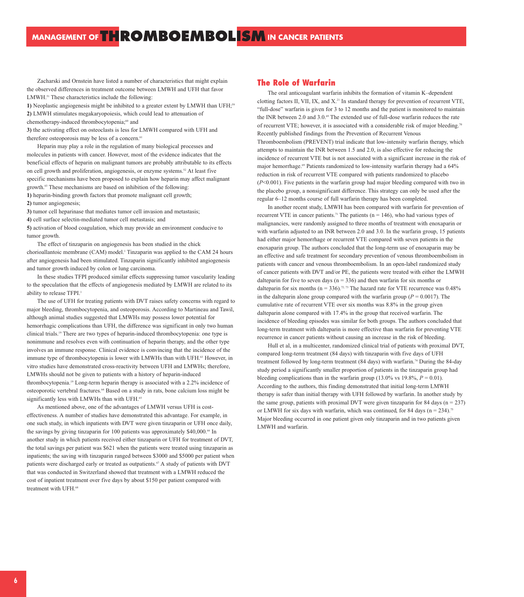Zacharski and Ornstein have listed a number of characteristics that might explain the observed differences in treatment outcome between LMWH and UFH that favor LMWH.51 These characteristics include the following:

1) Neoplastic angiogenesis might be inhibited to a greater extent by LMWH than UFH;<sup>59</sup> **2)** LMWH stimulates megakaryopoiesis, which could lead to attenuation of

**3)** the activating effect on osteoclasts is less for LMWH compared with UFH and therefore osteoporosis may be less of a concern. $61$ 

Heparin may play a role in the regulation of many biological processes and molecules in patients with cancer. However, most of the evidence indicates that the beneficial effects of heparin on malignant tumors are probably attributable to its effects on cell growth and proliferation, angiogenesis, or enzyme systems.<sup>52</sup> At least five specific mechanisms have been proposed to explain how heparin may affect malignant growth.<sup>63</sup> These mechanisms are based on inhibition of the following: **1)** heparin-binding growth factors that promote malignant cell growth;

**2)** tumor angiogenesis;

**3)** tumor cell heparinase that mediates tumor cell invasion and metastasis;

**4)** cell surface selectin-mediated tumor cell metastasis; and

**5)** activation of blood coagulation, which may provide an environment conducive to tumor growth.

The effect of tinzaparin on angiogenesis has been studied in the chick chorioallantoic membrane (CAM) model.<sup>1</sup> Tinzaparin was applied to the CAM 24 hours after angiogenesis had been stimulated. Tinzaparin significantly inhibited angiogenesis and tumor growth induced by colon or lung carcinoma.

In these studies TFPI produced similar effects suppressing tumor vascularity leading to the speculation that the effects of angiogenesis mediated by LMWH are related to its ability to release TFPI.<sup>1</sup>

The use of UFH for treating patients with DVT raises safety concerns with regard to major bleeding, thrombocytopenia, and osteoporosis. According to Martineau and Tawil, although animal studies suggested that LMWHs may possess lower potential for hemorrhagic complications than UFH, the difference was significant in only two human clinical trials.19 There are two types of heparin-induced thrombocytopenia: one type is nonimmune and resolves even with continuation of heparin therapy, and the other type involves an immune response. Clinical evidence is convincing that the incidence of the immune type of thrombocytopenia is lower with LMWHs than with UFH.<sup>63</sup> However, in vitro studies have demonstrated cross-reactivity between UFH and LMWHs; therefore, LMWHs should not be given to patients with a history of heparin-induced thrombocytopenia.19 Long-term heparin therapy is associated with a 2.2% incidence of osteoporotic vertebral fractures.64 Based on a study in rats, bone calcium loss might be significantly less with LMWHs than with UFH.<sup>65</sup>

As mentioned above, one of the advantages of LMWH versus UFH is costeffectiveness. A number of studies have demonstrated this advantage. For example, in one such study, in which inpatients with DVT were given tinzaparin or UFH once daily, the savings by giving tinzaparin for 100 patients was approximately \$40,000.<sup>66</sup> In another study in which patients received either tinzaparin or UFH for treatment of DVT, the total savings per patient was \$621 when the patients were treated using tinzaparin as inpatients; the saving with tinzaparin ranged between \$3000 and \$5000 per patient when patients were discharged early or treated as outpatients.<sup>67</sup> A study of patients with DVT that was conducted in Switzerland showed that treatment with a LMWH reduced the cost of inpatient treatment over five days by about \$150 per patient compared with treatment with UFH.<sup>68</sup>

## **The Role of Warfarin**

The oral anticoagulant warfarin inhibits the formation of vitamin K–dependent clotting factors II, VII, IX, and X.<sup>21</sup> In standard therapy for prevention of recurrent VTE, "full-dose" warfarin is given for 3 to 12 months and the patient is monitored to maintain the INR between 2.0 and  $3.0\degree$  The extended use of full-dose warfarin reduces the rate of recurrent VTE; however, it is associated with a considerable risk of major bleeding.<sup>70</sup> Recently published findings from the Prevention of Recurrent Venous Thromboembolism (PREVENT) trial indicate that low-intensity warfarin therapy, which attempts to maintain the INR between 1.5 and 2.0, is also effective for reducing the incidence of recurrent VTE but is not associated with a significant increase in the risk of major hemorrhage.<sup>69</sup> Patients randomized to low-intensity warfarin therapy had a 64% reduction in risk of recurrent VTE compared with patients randomized to placebo (*P*<0.001). Five patients in the warfarin group had major bleeding compared with two in the placebo group, a nonsignificant difference. This strategy can only be used after the regular 6–12 months course of full warfarin therapy has been completed.

In another recent study, LMWH has been compared with warfarin for prevention of recurrent VTE in cancer patients.<sup>71</sup> The patients ( $n = 146$ ), who had various types of malignancies, were randomly assigned to three months of treatment with enoxaparin or with warfarin adjusted to an INR between 2.0 and 3.0. In the warfarin group, 15 patients had either major hemorrhage or recurrent VTE compared with seven patients in the enoxaparin group. The authors concluded that the long-term use of enoxaparin may be an effective and safe treatment for secondary prevention of venous thromboembolism in patients with cancer and venous thromboembolism. In an open-label randomized study of cancer patients with DVT and/or PE, the patients were treated with either the LMWH dalteparin for five to seven days ( $n = 336$ ) and then warfarin for six months or dalteparin for six months ( $n = 336$ ).<sup>72, 73</sup> The hazard rate for VTE recurrence was 0.48% in the dalteparin alone group compared with the warfarin group ( $P = 0.0017$ ). The cumulative rate of recurrent VTE over six months was 8.8% in the group given dalteparin alone compared with 17.4% in the group that received warfarin. The incidence of bleeding episodes was similar for both groups. The authors concluded that long-term treatment with dalteparin is more effective than warfarin for preventing VTE recurrence in cancer patients without causing an increase in the risk of bleeding.

Hull et al, in a multicenter, randomized clinical trial of patients with proximal DVT, compared long-term treatment (84 days) with tinzaparin with five days of UFH treatment followed by long-term treatment (84 days) with warfarin.<sup>74</sup> During the 84-day study period a significantly smaller proportion of patients in the tinzaparin group had bleeding complications than in the warfarin group  $(13.0\% \text{ vs } 19.8\%, P = 0.01)$ . According to the authors, this finding demonstrated that initial long-term LMWH therapy is safer than initial therapy with UFH followed by warfarin. In another study by the same group, patients with proximal DVT were given tinzaparin for 84 days ( $n = 237$ ) or LMWH for six days with warfarin, which was continued, for 84 days ( $n = 234$ ).<sup>75</sup> Major bleeding occurred in one patient given only tinzaparin and in two patients given LMWH and warfarin.

chemotherapy-induced thrombocytopenia;<sup>60</sup> and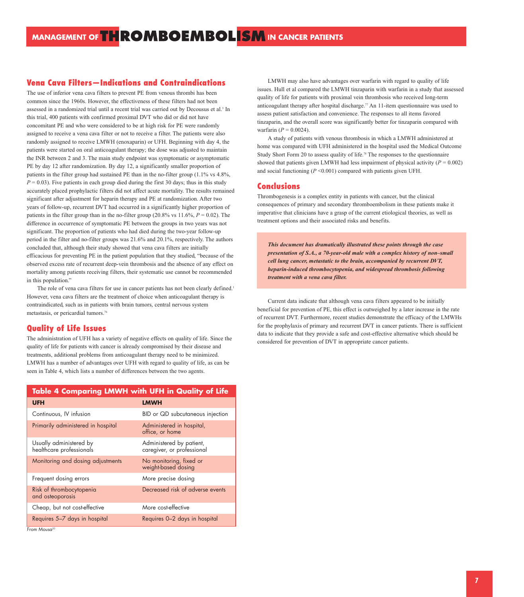# **Vena Cava Filters—Indications and Contraindications**

The use of inferior vena cava filters to prevent PE from venous thrombi has been common since the 1960s. However, the effectiveness of these filters had not been assessed in a randomized trial until a recent trial was carried out by Decousus et al.<sup>3</sup> In this trial, 400 patients with confirmed proximal DVT who did or did not have concomitant PE and who were considered to be at high risk for PE were randomly assigned to receive a vena cava filter or not to receive a filter. The patients were also randomly assigned to receive LMWH (enoxaparin) or UFH. Beginning with day 4, the patients were started on oral anticoagulant therapy; the dose was adjusted to maintain the INR between 2 and 3. The main study endpoint was symptomatic or asymptomatic PE by day 12 after randomization. By day 12, a significantly smaller proportion of patients in the filter group had sustained PE than in the no-filter group (1.1% vs 4.8%,  $P = 0.03$ ). Five patients in each group died during the first 30 days; thus in this study accurately placed prophylactic filters did not affect acute mortality. The results remained significant after adjustment for heparin therapy and PE at randomization. After two years of follow-up, recurrent DVT had occurred in a significantly higher proportion of patients in the filter group than in the no-filter group  $(20.8\% \text{ vs } 11.6\%, P = 0.02)$ . The difference in occurrence of symptomatic PE between the groups in two years was not significant. The proportion of patients who had died during the two-year follow-up period in the filter and no-filter groups was 21.6% and 20.1%, respectively. The authors concluded that, although their study showed that vena cava filters are initially efficacious for preventing PE in the patient population that they studied, "because of the observed excess rate of recurrent deep-vein thrombosis and the absence of any effect on mortality among patients receiving filters, their systematic use cannot be recommended in this population."

The role of vena cava filters for use in cancer patients has not been clearly defined.<sup>1</sup> However, vena cava filters are the treatment of choice when anticoagulant therapy is contraindicated, such as in patients with brain tumors, central nervous system metastasis, or pericardial tumors.76

### **Quality of Life Issues**

The administration of UFH has a variety of negative effects on quality of life. Since the quality of life for patients with cancer is already compromised by their disease and treatments, additional problems from anticoagulant therapy need to be minimized. LMWH has a number of advantages over UFH with regard to quality of life, as can be seen in Table 4, which lists a number of differences between the two agents.

| <b>Table 4 Comparing LMWH with UFH in Quality of Life</b> |                                                        |  |
|-----------------------------------------------------------|--------------------------------------------------------|--|
| <b>UFH</b>                                                | <b>LMWH</b>                                            |  |
| Continuous, IV infusion                                   | BID or QD subcutaneous injection                       |  |
| Primarily administered in hospital                        | Administered in hospital,<br>office, or home           |  |
| Usually administered by<br>healthcare professionals       | Administered by patient,<br>caregiver, or professional |  |
| Monitoring and dosing adjustments                         | No monitoring, fixed or<br>weight-based dosing         |  |
| Frequent dosing errors                                    | More precise dosing                                    |  |
| Risk of thrombocytopenia<br>and osteoporosis              | Decreased risk of adverse events                       |  |
| Cheap, but not cost-effective                             | More cost-effective                                    |  |
| Requires 5–7 days in hospital                             | Requires 0-2 days in hospital                          |  |
| From Mousa <sup>20</sup>                                  |                                                        |  |

LMWH may also have advantages over warfarin with regard to quality of life issues. Hull et al compared the LMWH tinzaparin with warfarin in a study that assessed quality of life for patients with proximal vein thrombosis who received long-term anticoagulant therapy after hospital discharge.77 An 11-item questionnaire was used to assess patient satisfaction and convenience. The responses to all items favored tinzaparin, and the overall score was significantly better for tinzaparin compared with warfarin ( $P = 0.0024$ ).

A study of patients with venous thrombosis in which a LMWH administered at home was compared with UFH administered in the hospital used the Medical Outcome Study Short Form 20 to assess quality of life.<sup>78</sup> The responses to the questionnaire showed that patients given LMWH had less impairment of physical activity  $(P = 0.002)$ and social functioning  $(P \le 0.001)$  compared with patients given UFH.

### **Conclusions**

Thrombogenesis is a complex entity in patients with cancer, but the clinical consequences of primary and secondary thromboembolism in these patients make it imperative that clinicians have a grasp of the current etiological theories, as well as treatment options and their associated risks and benefits.

*This document has dramatically illustrated these points through the case presentation of S.A., a 70-year-old male with a complex history of non–small cell lung cancer, metastatic to the brain, accompanied by recurrent DVT, heparin-induced thrombocytopenia, and widespread thrombosis following treatment with a vena cava filter.*

Current data indicate that although vena cava filters appeared to be initially beneficial for prevention of PE, this effect is outweighed by a later increase in the rate of recurrent DVT. Furthermore, recent studies demonstrate the efficacy of the LMWHs for the prophylaxis of primary and recurrent DVT in cancer patients. There is sufficient data to indicate that they provide a safe and cost-effective alternative which should be considered for prevention of DVT in appropriate cancer patients.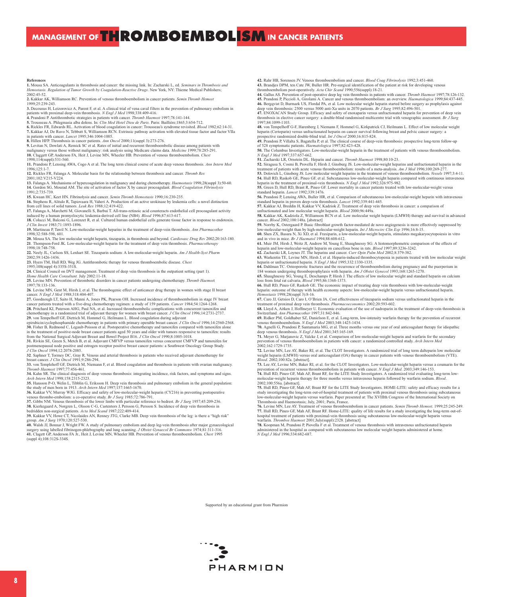MANAGEMENT OF THROMBOEMBOLISM IN CANCER PATIENTS

#### **References**

1. Mousa SA. Anticoagulants in thrombosis and cancer: the missing link. In: Zacharski L, ed. Seminars in Thrombosis and<br>Hemostasis. Regulation of Tumor Growth by Coagulation-Reactive Drugs. New York, NY: Thieme Medical Pub 2002:45-52.

**2.** Kakkar AK, Williamson RC. Prevention of venous thromboembolism in cancer patients. *Semin Thromb* **Propillians** 1999;25:239-243.

**3.** Decousus H, Leizorovicz A, Parent F, et al. A clinical trial of vena caval filters in the prevention of pulmonary embolism in

patients with proximal deep-vein thrombosis. *N Engl J Med* 1998;338:409-416.

**4.** Prandoni P. Antithrombotic strategies in patients with cancer. *Thromb Haemost* 1997;78:141-144.

**5.** Trousseau A. Phlegmasia alba dolens. In: *Clin Med Hotel Dieu de Paris.* Paris: Baillière;1865;3:654-712.

**6.** Rickles FR, Edwards RL. Activation of blood coagulation in cancer: Trousseau's syndrome revisited. *Blood* 1982;62:14-31. **7.** Kakkar AJ, De Ruvo N, Tebbutt S, Williamson RCN. Extrinsic pathway activation with elevated tissue factor and factor VIIa

in patients with cancer. *Lancet* 1995;346:1004-1005. **8.** Hillen HFP. Thrombosis in cancer patients. *Ann Oncol* 2000;11(suppl 3):273-276.

**9.** Levitan N, Dowlati A, Remick SC et al. Rates of initial and recurrent thromboembolic disease among patients with malignancy versus those without malignancy: risk analysis using Medicare claims data. *Medicine* 1999;78:285-291.

**10.** Claggett GP, Anderson FA, Heit J, Levine MN, Wheeler HB. Prevention of venous thromboembolism. *Chest* 1998;114(suppl):531-560.

**11.** Prandoni P, Lensing AWA, Cogo A et al. The long term clinical course of acute deep venous thrombosis. *Ann Intern Med* 1996;125:1-7. **12.** Rickles FR, Falanga A. Molecular basis for the relationship between thrombosis and cancer. *Thromb Res*

 $2001:102:V215-V224$ 

**13.** Falanga A. Mechanisms of hypercoagulation in malignancy and during chemotherapy. *Haemostasis* 1998;28(suppl 3):50-60. **14.** Gordon SG, Mourad AM. The site of activation of factor X by cancer procoagulant. *Blood Coagulation Fibrinolysis* 1991;2:735-739.

**15.** Kwaan HC, Keet HN. Fibrinolysis and cancer. *Semin Thromb Hemostasis* 1990;16:230-235. **16.** Stephens R, Alitalo R, Tapiovaara H, Vaheri A. Production of an active urokinase by leukemia cells: a novel distinction

from cell lines of solid tumors. *Leuk Res* 1988;12:419-422.

17. Falanga A, Marchetti M, Giovanelli S, Barbui T. All-trans-retinoic acid counteracts endothelial cell procoagulant activity<br>induced by a human promyelocytic leukemia-derived cell line (NB4). *Blood* 1996;87:613-617. **18.** Colucci M, Balconi G, Lorenzet R, et al. Cultured human endothelial cells generate tissue factor in response to endotoxin. *J Clin Invest* 1983;71:1893-1896.

**19.** Martineau P, Tawil N. Low-molecular-weight heparins in the treatment of deep-vein thrombosis. *Ann Pharmacother* 1998;32:588-598, 601.

**20.** Mousa SA. The low molecular weight heparin, tinzaparin, in thrombosis and beyond. *Cardiovasc Drug Rev* 2002;20:163-180. **21**. Thompson-Ford JK. Low-molecular-weight heparin for the treatment of deep vein thrombosis. *Pharmacotherapy*

1998;18:748-758. **22.** Neely JL, Carlson SS, Lenhart SE. Tinzaparin sodium: A low-molecular-weight heparin. *Am J Health-Syst Pharm* 2002;59:1426-1436.

**23.** Hyers TM, Hull RD, Weg JG. Antithrombotic therapy for venous thromboembolic disease. *Chest* 1995;108(suppl 4):335S-351S.

**24.** Clinical Council on DVT management. Treatment of deep vein thrombosis in the outpatient setting (part 1).

*Home Health Care Consultant.* July 2002:11-18.

**25.** Levine MN. Prevention of thrombotic disorders in cancer patients undergoing chemotherapy. *Thromb Haemos*t 1997;78:133-136.

**26**. Levine MN, Gent M, Hirsh J, et al. The thrombogenic effect of anticancer drug therapy in women with stage II breast cancer. *N Engl J Med* 1988;318:404-407.

**27.** Goodnough LT, Saito H, Manni A, Jones PK, Pearson OH. Increased incidence of thromboembolism in stage IV breast cancer patients treated with a five-drug chemotherapy regimen: a study of 159 patients. *Cancer* 1984;54:1264-1268. **28.** Pritchard KI, Paterson AHG, Paul NA, et al. Increased thromboembolic complications with concurrent tamoxifen and chemotherapy in a randomized trial of adjuvant therapy for women with breast cancer. *J Clin Oncol* 1996;14:2731-2737.

29. von Tempelhoff GF, Dietrich M, Hommel G, Heilmann L. Blood coagulation during adjuvant<br>epirubicin/cyclophosphamide chemotherapy in patients with primary operable breast cancer. J Clin Oncol 1996;14:2560-2568. **30.** Fisher B, Redmond C, Legault-Poisson et al. Postoperative chemotherapy and tamoxifen compared with tamoxifen alone<br>in the treatment of positive-node breast cancer patients aged 50 years and older with tumors responsi from the National Surgical Adjuvant Breast and Bowel Project B16. *J Clin Oncol* 1990;8:1005-1018.

**31.** Rivkin SE, Green S, Metch B, et al. Adjuvant CMFVP versus tamoxifen versus concurrent CMFVP and tamoxifen for postmenopausal node positive and estrogen receptor positive breast cancer patients: a Southwest Oncology Group Study. *J Clin Oncol* 1994;12:2078-2085.

**32**. Saphner T, Tormey DC, Gray R. Venous and arterial thrombosis in patients who received adjuvant chemotherapy for breast cancer. *J Clin Oncol* 1991;9:286-294.

**33.** von Templehoff GF, Dietrich M, Niemann F, et al. Blood coagulation and thrombosis in patients with ovarian malignancy. *Thromb Haemost* 1997;77:456-461.

**34.** Kahn SR. The clinical diagnosis of deep venous thrombosis: integrating incidence, risk factors, and symptoms and signs. *Arch Intern Med* 1998;158:2315-2323.

**35.** Hansson P-O, Welin L, Tibblin G, Eriksson H. Deep vein thrombosis and pulmonary embolism in the general population: the study of men born in 1913. *Arch Intern Med* 1997;157:1665-1670.

**36.** Kakkar VV, Murray WJG. Efficacy and safety of low-molecular-weight heparin (CY216) in preventing postoperative venous thrombo-embolism: a co-operative study. *Br J Surg* 1985;72:786-791. **37.** Gibbs NM. Venous thrombosis of the lower limbs with particular reference to bedrest. *Br J Surg* 1957;45:209-236.

**38.** Kierkegaard A, Norgren L, Olsson C-G, Castentors J, Persson G, Persson S. Incidence of deep vein thrombosis in bedridden non-surgical patients. *Acta Med Scand* 1987;222:409-414.

**39.** Kakkar VV, Howe CT, Nicolaides AN, Renney JTG, Clarke MB. Deep vein thrombosis of the leg: is there a "high risk" group. *Am J Surg* 1970;120:527-530.

40. Walsh JJ, Bonnar J, Wright FW. A study of pulmonary embolism and deep leg-vein thrombosis after major gynaecological<br>surgery using labelled fibrinogen-phlebography and lung scanning. *J Obstet Gynaecol Br Commonw* 1974 **41.** Clagett GP, Anderson FA Jr., Heit J, Levine MN, Wheeler HB. Prevention of venous thromboembolism. *Chest* 1995 (suppl 4);108:312S-334S.

**42.** Rahr HB, Sorensen JV. Venous thromboembolism and cancer. *Blood Coag Fibrinolysis* 1992;3:451-460. **43.** Brandjes DPM, ten Cate JW, Buller HR. Pre-surgical identification of the patient at risk for developing venous thromboembolism post-operatively. *Acta Chir Scand* 1990;556(suppl):18-21.

**44.** Gallus AS. Prevention of post-operative deep leg vein thrombosis in patients with cancer. *Thromb Haemost* 1997;78:126-132. **45.** Prandoni P, Piccioli A, Girolami A. Cancer and venous thromboembolism: an overview. *Haematologica* 1999;84:437-445. **46.** Bergqvist D, Burmark US, Flordal PA, et al. Low molecular weight heparin started before surgery as prophylaxis against deep vein thrombosis: 2500 versus 5000 anti-Xa units in 2070 patients. *Br J Surg* 1995;82:496-501.

47. ENOXACAN Study Group. Efficacy and safety of enoxaparin versus unfractionated heparin for prevention of deep vein<br>thrombosis in elective cancer surgery: a double-blind randomised multicentre trial with venographic asse 1997;84:1099-1103.

48. von Tempelhoff G-F, Harenberg J, Niemann F, Hommel G, Kirkpatrick CJ, Heilmann L. Effect of low molecular weight<br>heparin (Certoparin) versus unfractionated heparin on cancer survival following breast and pelvic cancer prospective randomized double-blind trial. *Int J Oncol* 2000;16:815-824.<br>**49.** Prandoni P, Villalta S. Bagatella P. of al. The U.S. 2000;16:815-824.

**49.** Prandoni P, Villalta S, Bagatella P, et al. The clinical course of deep-vein thrombosis: prospective long-term follow-up of 528 symptomatic patients. *Haematologica* 1997;82:423-428.

**50.** The Columbus Investigators. Low-molecular-weight heparin in the treatment of patients with venous thromboembolism. *N Engl J Med* 1997;337:657-662.

**51.** Zacharski LR, Ornstein DL. Heparin and cancer. *Thromb Haemost* 1998;80:10-23.

52. Siragusa S, Cosmi B, Provella F, Hirsh J, Ginsburg JS. Low-molecular-weight heparins and unfractionated heparin in the treatment of patients with acute venous thromboembolism: results of a meta-analysis. Am J Med 1996; **53.** Dolovich L, Ginsberg JS. Low molecular weight heparins in the treatment of venous thromboembolism. *Vessels* 1997;3:4-11.

**54.** Hull RD, Raskob GE, Pineo GF, et al. Subcutaneous low-molecular-weight heparin compared with continuous intravenous heparin in the treatment of proximal-vein thrombosis. *N Engl J Med* 1992;326:975-982. **55.** Green D, Hull RD, Brant R, Pineo GF. Lower mortality in cancer patients treated with low-molecular-weight versus

standard heparin. *Lancet* 1992;339:1476. **56.** Prandoni P, Lensing AWA, Buller HR, et al. Comparison of subcutaneous low-molecular-weight heparin with intravenous standard heparin in proven deep-vein thrombosis. *Lancet* 1992;339:441-445.

**57.** Kakkar AJ, Breddin H, Kakkar VV, Kadziok Z. Treatment of deep vein thrombosis in cancer: a comparison of unfractionated and low molecular weight heparin. *Blood* 2000;96:449a.

**58.** Kakkar AK, Kadziola Z, Williamson RCN et al. Low molecular weight heparin (LMWH) therapy and survival in advanced cancer. *Blood* 2002;100:148a. [abstract]

59. Norrby K, Ostergaard P. Basic fibroblast growth factor-mediated de novo angiogenesis is more effectively suppressed by<br>low-molecular-weight than by high-molecular-weight heparin. Int J Microcirc Clin Exp 1996;16:8-15.

**60.** Shen ZX, Basara N, Xi XD, et al. Fraxiparin, a low-molecular-weight heparin, stimulates megakaryocytopoiesis in vitro and in vivo in mice. *Br J Haematol* 1994;88:608-612. **61.** Muir JM, Hirsh J, Weitz JI, Andrew M, Young E, Shaughnessy SG. A histomorphometric comparison of the effects of

heparin and low-molecular-weight heparin on cancellous bone in rats. *Blood* 1997;89:3236-3242. **62.** Zacharski LR, Loynes JT. The heparins and cancer. *Curr Opin Pulm Med* 2002;8:379-382.

**63.** Warkentin TE, Levine MN, Hirsh J, et al. Heparin-induced thrombocytopenia in patients treated with low molecular weight heparin or unfractionated heparin. *N Engl J Med* 1995;332:1330-1335.

**64.** Dahlman TC. Osteoporotic fractures and the recurrence of thromboembolism during pregnancy and the puerperium in 184 women undergoing thromboprophylaxis with heparin. *Am J Obstet Gynecol* 1993;168:1265-1270.

**65.** Shaughnessy SG, Young E, Deschamps P, Hirsh J. The effects of low molecular weight and standard heparin on calcium loss from fetal rat calvaria. *Blood* 1995;86:1368-1373. **66.** Hull RD, Pineo GF, Raskob GE. The economic impact of treating deep vein thrombosis with low-molecular-weight

heparin: outcome of therapy with health economy aspects: low-molecular-weight heparin versus unfractionated heparin. *Hemostasis* 1998;28(suppl 3):8-16. **67.** Caro JJ, Getsios D, Caro I, O'Brien JA. Cost effectiveness of tinzaparin sodium versus unfractionated heparin in the

treatment of proximal deep vein thrombosis. *Pharmacoeconomics* 2002;20:593-602.

**68.** Lloyd A, Aitken J, Hoffmeyer U. Economic evaluation of the use of nadroparin in the treatment of deep-vein thrombosis in Switzerland. *Ann Pharmacother* 1997;31:842-846.

**69.** Ridker PM, Goldhaber SZ, Danielson E, et al. Long-term, low-intensity warfarin therapy for the prevention of recurrent venous thromboembolism. *N Engl J Med* 2003;348:1425-1434.

**70.** Agnelli G, Prandoni P, Santamaria MG, et al. Three months versus one year of oral anticoagulant therapy for idiopathic deep venous thrombosis. *N Engl J Med* 2001;345:165-169.

**71.** Meyer G, Marjanovic Z, Valcke J, et al. Comparison of low-molecular-weight heparin and warfarin for the secondary prevention of venous thromboembolism in patients with cancer: a randomized controlled study. *Arch Intern Med* 2002;162:1729-1735.

**72.** Levine MN, Lee AY, Baker RI, et al. The CLOT Investigators. A randomized trial of long term dalteparin low molecular weight heparin (LMWH) versus oral anticoagulant (OA) therapy in cancer patients with venous thromboembolism (VTE). *Blood*. 2002;100:82a. [abstract].

**73.** Lee AY, Levine MN, Baker RI, et al. for the CLOT Investigators. Low-molecular-weight heparin versus a coumarin for the prevent venous thromboembolism in patients with cancer. *N Engl J Med*. 2003;349:146-153.

**74.** Hull RD, Pineo GF, Mah AF, Brant RF, for the LITE Study Investigators. A randomized trial evaluating long-term lowmolecular-weight heparin therapy for three months versus intravenous heparin followed by warfarin sodium. *Blood*. 2002;100:556a. [abstract].

**75.** Hull RD, Pineo GF, Mah AF, Brant RF for the LITE Study Investigators. HOME-LITE: safety and efficacy results for a study investigating the long-term out-of-hospital treatment of patients with proximal venous thrombosis using subcutaneous low-molecular-weight heparin versus warfarin. Paper presented at: The XVIIIth Congress of the International Society on Thrombosis and Haemostasis; July, 2001; Paris, France.

**76.** Levine MN, Lee AY. Treatment of venous thromboembolism in cancer patients. *Semin Thromb Hemost*. 1999;25:245-249. 77. Hull RD, Pineo GF, Mah AF, Brant RF. Home-LITE: quality of life results for a study investigating the long-term out-of-<br>hospital treatment of patients with proximal-vein thrombosis using subcutaneous low-molecular-weig warfarin. *Thrombos Haemost* 2001;July(suppl):2328. [abstract]

**78.** Koopman M, Prandoni P, Piovella F et al. Treatment of venous thrombosis with intravenous unfractionated heparin administered in the hospital as compared with subcutaneous low molecular weight heparin administered at home. *N Engl J Med* 1996;334:682-687.

Supported by an educational grant from Pharmion

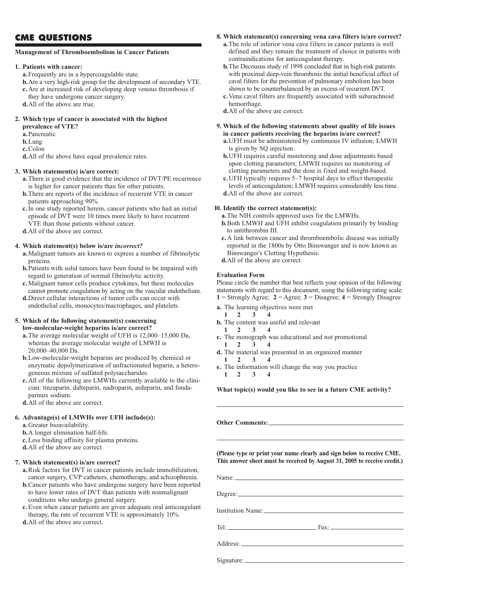### **CME QUESTIONS**

#### **Management of Thromboembolism in Cancer Patients**

#### **1. Patients with cancer:**

**a.**Frequently are in a hypercoagulable state.

- **b.**Are a very high-risk group for the development of secondary VTE. **c.**Are at increased risk of developing deep venous thrombosis if they have undergone cancer surgery.
- **d.**All of the above are true.

#### **2. Which type of cancer is associated with the highest**

- **prevalence of VTE?**
- **a.**Pancreatic
- **b.**Lung
- **c.**Colon

**d.**All of the above have equal prevalence rates.

#### **3. Which statement(s) is/are correct:**

- **a.**There is good evidence that the incidence of DVT/PE recurrence is higher for cancer patients than for other patients.
- **b.**There are reports of the incidence of recurrent VTE in cancer patients approaching 90%.
- **c.**In one study reported herein, cancer patients who had an initial episode of DVT were 10 times more likely to have recurrent VTE than those patients without cancer.
- **d.**All of the above are correct.

#### **4. Which statement(s) below is/are** *incorrect?*

- **a.**Malignant tumors are known to express a number of fibrinolytic proteins.
- **b.**Patients with solid tumors have been found to be impaired with regard to generation of normal fibrinolytic activity.
- **c.**Malignant tumor cells produce cytokines, but these molecules cannot promote coagulation by acting on the vascular endothelium.
- **d.**Direct cellular interactions of tumor cells can occur with endothelial cells, monocytes/macrophages, and platelets.

#### **5. Which of the following statement(s) concerning low-molecular-weight heparins is/are correct?**

- **a.**The average molecular weight of UFH is 12,000–15,000 Da, whereas the average molecular weight of LMWH is 20,000–40,000 Da.
- **b.**Low-molecular-weight heparins are produced by chemical or enzymatic depolymerization of unfractionated heparin, a heterogeneous mixture of sulfated polysaccharides.
- **c.**All of the following are LMWHs currently available to the clinician: tinzaparin, dalteparin, nadroparin, ardeparin, and fondaparinux sodium.
- **d.**All of the above are correct.

#### **6. Advantage(s) of LMWHs over UFH include(s):**

- **a.**Greater bioavailability.
- **b.**A longer elimination half-life.
- **c.**Less binding affinity for plasma proteins.
- **d.**All of the above are correct.

#### **7. Which statement(s) is/are correct?**

- **a.**Risk factors for DVT in cancer patients include immobilization, cancer surgery, CVP catheters, chemotherapy, and schizophrenia.
- **b.**Cancer patients who have undergone surgery have been reported to have lower rates of DVT than patients with nonmalignant conditions who undergo general surgery.
- **c.**Even when cancer patients are given adequate oral anticoagulant therapy, the rate of recurrent VTE is approximately 10%.

**d.**All of the above are correct.

#### **8. Which statement(s) concerning vena cava filters is/are correct?**

- **a.**The role of inferior vena cava filters in cancer patients is well defined and they remain the treatment of choice in patients with contraindications for anticoagulant therapy.
- **b.**The Decousus study of 1998 concluded that in high-risk patients with proximal deep-vein thrombosis the initial beneficial effect of caval filters for the prevention of pulmonary embolism has been shown to be counterbalanced by an excess of recurrent DVT.
- **c.**Vena caval filters are frequently associated with subarachnoid hemorrhage.
- **d.**All of the above are correct.

#### **9. Which of the following statements about quality of life issues in cancer patients receiving the heparins is/are correct?**

- **a.**UFH must be administered by continuous IV infusion; LMWH is given by SQ injection.
- **b.**UFH requires careful monitoring and dose adjustments based upon clotting parameters; LMWH requires no monitoring of clotting parameters and the dose is fixed and weight-based.
- **c.**UFH typically requires 5–7 hospital days to effect therapeutic levels of anticoagulation; LMWH requires considerably less time. **d.**All of the above are correct.

#### **10. Identify the correct statement(s):**

**a.**The NIH controls approved uses for the LMWHs.

- **b.**Both LMWH and UFH inhibit coagulation primarily by binding to antithrombin III.
- **c.**A link between cancer and thromboembolic disease was initially reported in the 1800s by Otto Binswanger and is now known as Binswanger's Clotting Hypothesis.
- **d.**All of the above are correct.

#### **Evaluation Form**

Please circle the number that best reflects your opinion of the following statements with regard to this document, using the following rating scale: **1** = Strongly Agree; **2** = Agree; **3** = Disagree; **4** = Strongly Disagree

- **a.** The learning objectives were met
	- **12 3 4**
- **b.** The content was useful and relevant
- **12 3 4**
- **c.** The monograph was educational and not promotional
	- **12 3 4**
- **d.** The material was presented in an organized manner
- **12 3 4**
- **e.** The information will change the way you practice  $1 \t2 \t3$

**What topic(s) would you like to see in a future CME activity?** 

**Other Comments:**

**(Please type or print your name clearly and sign below to receive CME. This answer sheet must be received by August 31, 2005 to receive credit.)**

Name: Degree: Institution Name: Tel: Fax: Address: Andreas and the state of the state of the state of the state of the state of the state of the state of the state of the state of the state of the state of the state of the state of the state of the state of the st

Signature: